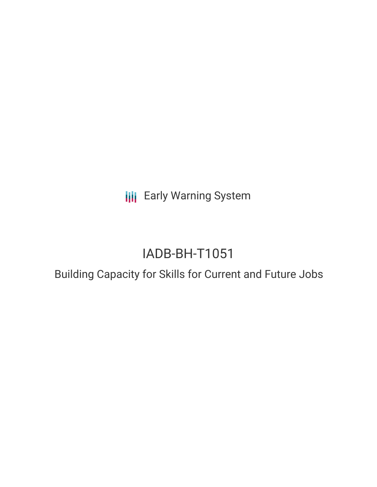**III** Early Warning System

# IADB-BH-T1051

## Building Capacity for Skills for Current and Future Jobs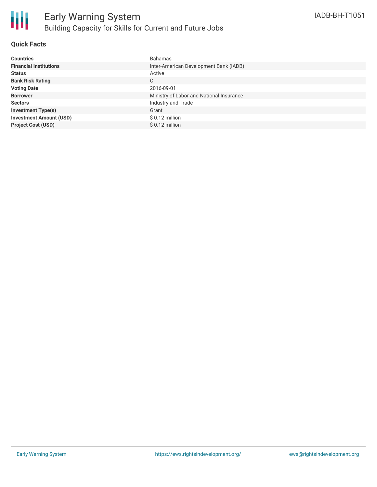

#### **Quick Facts**

| <b>Countries</b>               | <b>Bahamas</b>                           |
|--------------------------------|------------------------------------------|
| <b>Financial Institutions</b>  | Inter-American Development Bank (IADB)   |
| <b>Status</b>                  | Active                                   |
| <b>Bank Risk Rating</b>        | C                                        |
| <b>Voting Date</b>             | 2016-09-01                               |
| <b>Borrower</b>                | Ministry of Labor and National Insurance |
| <b>Sectors</b>                 | Industry and Trade                       |
| <b>Investment Type(s)</b>      | Grant                                    |
| <b>Investment Amount (USD)</b> | $$0.12$ million                          |
| <b>Project Cost (USD)</b>      | $$0.12$ million                          |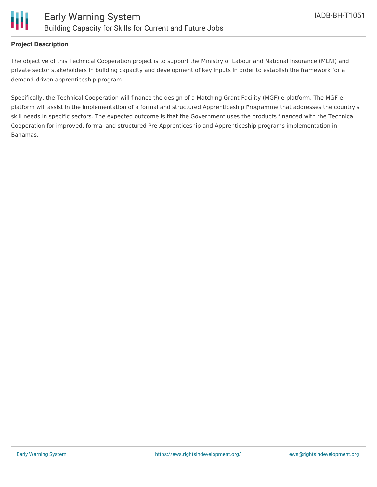

#### **Project Description**

The objective of this Technical Cooperation project is to support the Ministry of Labour and National Insurance (MLNI) and private sector stakeholders in building capacity and development of key inputs in order to establish the framework for a demand-driven apprenticeship program.

Specifically, the Technical Cooperation will finance the design of a Matching Grant Facility (MGF) e-platform. The MGF eplatform will assist in the implementation of a formal and structured Apprenticeship Programme that addresses the country's skill needs in specific sectors. The expected outcome is that the Government uses the products financed with the Technical Cooperation for improved, formal and structured Pre-Apprenticeship and Apprenticeship programs implementation in Bahamas.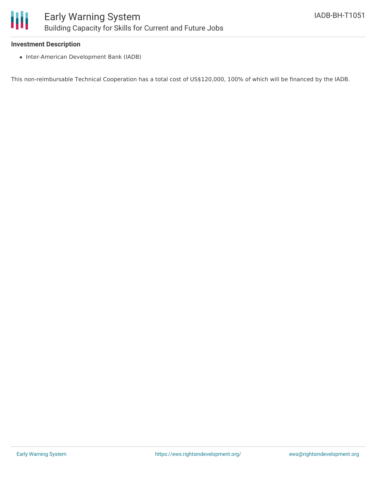

#### **Investment Description**

• Inter-American Development Bank (IADB)

This non-reimbursable Technical Cooperation has a total cost of US\$120,000, 100% of which will be financed by the IADB.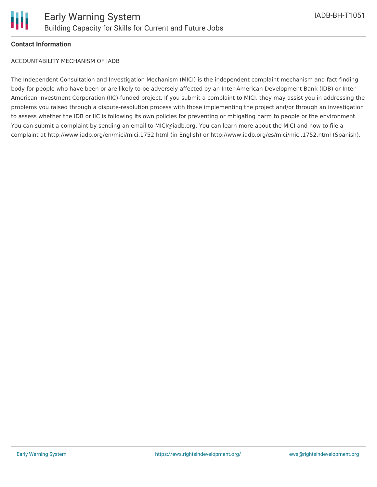

#### **Contact Information**

ACCOUNTABILITY MECHANISM OF IADB

The Independent Consultation and Investigation Mechanism (MICI) is the independent complaint mechanism and fact-finding body for people who have been or are likely to be adversely affected by an Inter-American Development Bank (IDB) or Inter-American Investment Corporation (IIC)-funded project. If you submit a complaint to MICI, they may assist you in addressing the problems you raised through a dispute-resolution process with those implementing the project and/or through an investigation to assess whether the IDB or IIC is following its own policies for preventing or mitigating harm to people or the environment. You can submit a complaint by sending an email to MICI@iadb.org. You can learn more about the MICI and how to file a complaint at http://www.iadb.org/en/mici/mici,1752.html (in English) or http://www.iadb.org/es/mici/mici,1752.html (Spanish).